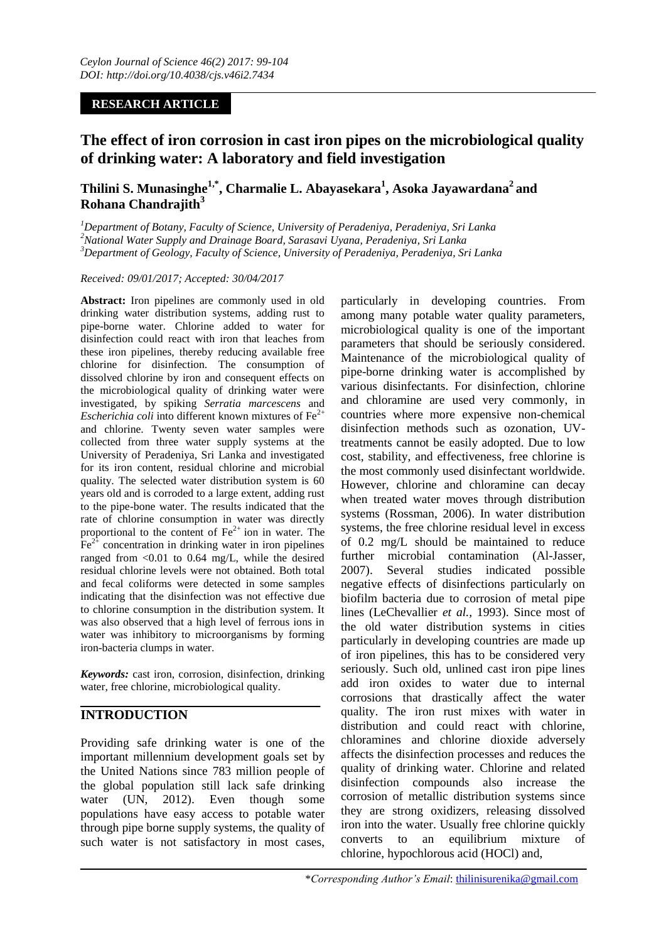## **RESEARCH ARTICLE**

# **The effect of iron corrosion in cast iron pipes on the microbiological quality of drinking water: A laboratory and field investigation**

## **Thilini S. Munasinghe1,\*, Charmalie L. Abayasekara<sup>1</sup> , Asoka Jayawardana<sup>2</sup>and Rohana Chandrajith<sup>3</sup>**

*<sup>1</sup>Department of Botany, Faculty of Science, University of Peradeniya, Peradeniya, Sri Lanka <sup>2</sup>National Water Supply and Drainage Board, Sarasavi Uyana, Peradeniya, Sri Lanka <sup>3</sup>Department of Geology, Faculty of Science, University of Peradeniya, Peradeniya, Sri Lanka*

#### *Received: 09/01/2017; Accepted: 30/04/2017*

**Abstract:** Iron pipelines are commonly used in old drinking water distribution systems, adding rust to pipe-borne water. Chlorine added to water for disinfection could react with iron that leaches from these iron pipelines, thereby reducing available free chlorine for disinfection. The consumption of dissolved chlorine by iron and consequent effects on the microbiological quality of drinking water were investigated, by spiking *Serratia marcescens* and *Escherichia coli* into different known mixtures of  $Fe<sup>2+</sup>$ and chlorine. Twenty seven water samples were collected from three water supply systems at the University of Peradeniya, Sri Lanka and investigated for its iron content, residual chlorine and microbial quality. The selected water distribution system is 60 years old and is corroded to a large extent, adding rust to the pipe-bone water. The results indicated that the rate of chlorine consumption in water was directly proportional to the content of  $Fe^{2+}$  ion in water. The  $Fe<sup>2+</sup>$  concentration in drinking water in iron pipelines ranged from  $\langle 0.01 \rangle$  to 0.64 mg/L, while the desired residual chlorine levels were not obtained. Both total and fecal coliforms were detected in some samples indicating that the disinfection was not effective due to chlorine consumption in the distribution system. It was also observed that a high level of ferrous ions in water was inhibitory to microorganisms by forming iron-bacteria clumps in water.

*Keywords:* cast iron, corrosion, disinfection, drinking water, free chlorine, microbiological quality.

## **INTRODUCTION**

Providing safe drinking water is one of the important millennium development goals set by the United Nations since 783 million people of the global population still lack safe drinking water (UN, 2012). Even though some populations have easy access to potable water through pipe borne supply systems, the quality of such water is not satisfactory in most cases,

particularly in developing countries. From among many potable water quality parameters, microbiological quality is one of the important parameters that should be seriously considered. Maintenance of the microbiological quality of pipe-borne drinking water is accomplished by various disinfectants. For disinfection, chlorine and chloramine are used very commonly, in countries where more expensive non-chemical disinfection methods such as ozonation, UVtreatments cannot be easily adopted. Due to low cost, stability, and effectiveness, free chlorine is the most commonly used disinfectant worldwide. However, chlorine and chloramine can decay when treated water moves through distribution systems (Rossman, 2006). In water distribution systems, the free chlorine residual level in excess of 0.2 mg/L should be maintained to reduce further microbial contamination (Al-Jasser, 2007). Several studies indicated possible negative effects of disinfections particularly on biofilm bacteria due to corrosion of metal pipe lines (LeChevallier *et al.,* 1993). Since most of the old water distribution systems in cities particularly in developing countries are made up of iron pipelines, this has to be considered very seriously. Such old, unlined cast iron pipe lines add iron oxides to water due to internal corrosions that drastically affect the water quality. The iron rust mixes with water in distribution and could react with chlorine, chloramines and chlorine dioxide adversely affects the disinfection processes and reduces the quality of drinking water. Chlorine and related disinfection compounds also increase the corrosion of metallic distribution systems since they are strong oxidizers, releasing dissolved iron into the water. Usually free chlorine quickly converts to an equilibrium mixture of chlorine, hypochlorous acid (HOCl) and,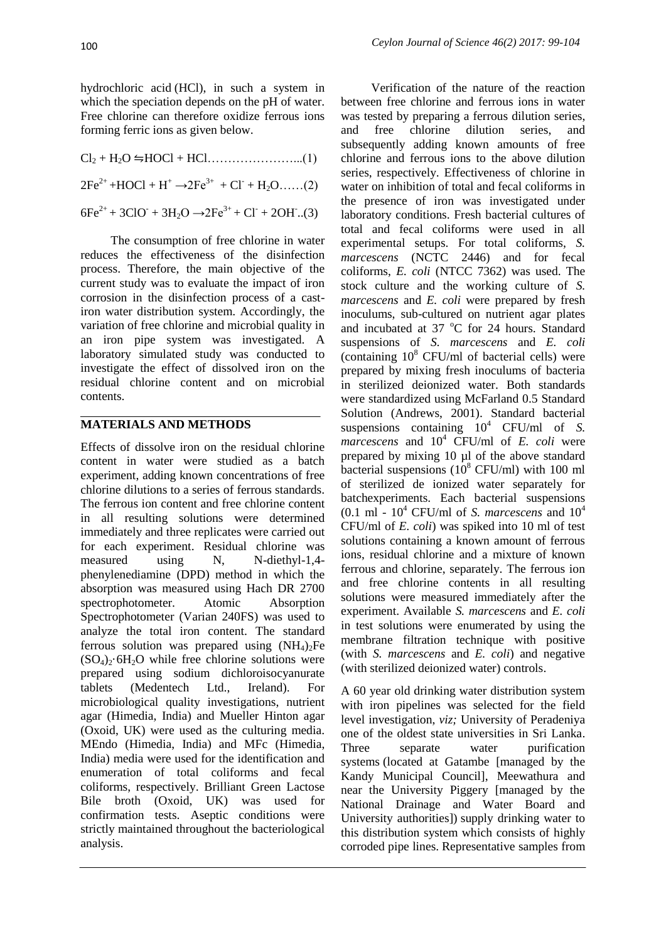hydrochloric acid (HCl), in such a system in which the speciation depends on the pH of water. Free chlorine can therefore oxidize ferrous ions forming ferric ions as given below.

 $Cl_2 + H_2O \rightleftharpoons HOCl + HCl$ ……………………....(1)  $2Fe^{2+} + HOC1 + H^+ \rightarrow 2Fe^{3+} + Cl^- + H_2O$ .....(2)  $6Fe^{2+} + 3ClO + 3H_2O \rightarrow 2Fe^{3+} + Cl + 2OH$ ...(3)

The consumption of free chlorine in water reduces the effectiveness of the disinfection process. Therefore, the main objective of the current study was to evaluate the impact of iron corrosion in the disinfection process of a castiron water distribution system. Accordingly, the variation of free chlorine and microbial quality in an iron pipe system was investigated. A laboratory simulated study was conducted to investigate the effect of dissolved iron on the residual chlorine content and on microbial contents.

## **MATERIALS AND METHODS**

Effects of dissolve iron on the residual chlorine content in water were studied as a batch experiment, adding known concentrations of free chlorine dilutions to a series of ferrous standards. The ferrous ion content and free chlorine content in all resulting solutions were determined immediately and three replicates were carried out for each experiment. Residual chlorine was measured using N, N-diethyl-1,4phenylenediamine (DPD) method in which the absorption was measured using Hach DR 2700 spectrophotometer. Atomic Absorption Spectrophotometer (Varian 240FS) was used to analyze the total iron content. The standard ferrous solution was prepared using  $(NH_4)_2Fe$  $(SO_4)_{2}$ ·6H<sub>2</sub>O while free chlorine solutions were prepared using sodium dichloroisocyanurate tablets (Medentech Ltd., Ireland). For microbiological quality investigations, nutrient agar (Himedia, India) and Mueller Hinton agar (Oxoid, UK) were used as the culturing media. MEndo (Himedia, India) and MFc (Himedia, India) media were used for the identification and enumeration of total coliforms and fecal coliforms, respectively. Brilliant Green Lactose Bile broth (Oxoid, UK) was used for confirmation tests. Aseptic conditions were strictly maintained throughout the bacteriological analysis.

Verification of the nature of the reaction between free chlorine and ferrous ions in water was tested by preparing a ferrous dilution series, and free chlorine dilution series, and subsequently adding known amounts of free chlorine and ferrous ions to the above dilution series, respectively. Effectiveness of chlorine in water on inhibition of total and fecal coliforms in the presence of iron was investigated under laboratory conditions. Fresh bacterial cultures of total and fecal coliforms were used in all experimental setups. For total coliforms, *S. marcescens* (NCTC 2446) and for fecal coliforms, *E. coli* (NTCC 7362) was used. The stock culture and the working culture of *S. marcescens* and *E. coli* were prepared by fresh inoculums, sub-cultured on nutrient agar plates and incubated at  $37 \text{ °C}$  for 24 hours. Standard suspensions of *S. marcescens* and *E. coli* (containing  $10^8$  CFU/ml of bacterial cells) were prepared by mixing fresh inoculums of bacteria in sterilized deionized water. Both standards were standardized using McFarland 0.5 Standard Solution (Andrews, 2001). Standard bacterial suspensions containing  $10^4$  CFU/ml of *S*. *marcescens* and 10<sup>4</sup> CFU/ml of *E. coli* were prepared by mixing 10 µl of the above standard bacterial suspensions  $(10^8 \text{ CFU/ml})$  with 100 ml of sterilized de ionized water separately for batchexperiments. Each bacterial suspensions  $(0.1 \text{ ml} - 10^4 \text{ CFU/ml of } S$ . *marcescens* and  $10^4$ CFU/ml of *E. coli*) was spiked into 10 ml of test solutions containing a known amount of ferrous ions, residual chlorine and a mixture of known ferrous and chlorine, separately. The ferrous ion and free chlorine contents in all resulting solutions were measured immediately after the experiment. Available *S. marcescens* and *E. coli* in test solutions were enumerated by using the membrane filtration technique with positive (with *S. marcescens* and *E. coli*) and negative (with sterilized deionized water) controls.

A 60 year old drinking water distribution system with iron pipelines was selected for the field level investigation, *viz;* University of Peradeniya one of the oldest state universities in Sri Lanka. Three separate water purification systems (located at Gatambe [managed by the Kandy Municipal Council], Meewathura and near the University Piggery [managed by the National Drainage and Water Board and University authorities]) supply drinking water to this distribution system which consists of highly corroded pipe lines. Representative samples from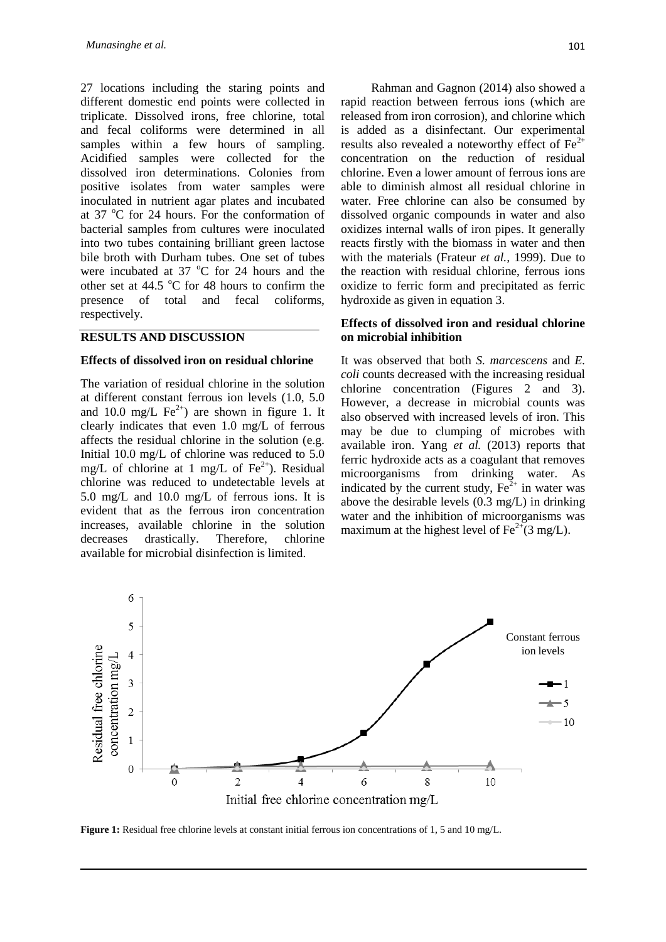27 locations including the staring points and different domestic end points were collected in triplicate. Dissolved irons, free chlorine, total and fecal coliforms were determined in all samples within a few hours of sampling. Acidified samples were collected for the dissolved iron determinations. Colonies from positive isolates from water samples were inoculated in nutrient agar plates and incubated at 37  $^{\circ}$ C for 24 hours. For the conformation of bacterial samples from cultures were inoculated into two tubes containing brilliant green lactose bile broth with Durham tubes. One set of tubes were incubated at  $37^{\circ}$ C for 24 hours and the other set at  $44.5 \degree C$  for 48 hours to confirm the presence of total and fecal coliforms, respectively.

### **RESULTS AND DISCUSSION**

#### **Effects of dissolved iron on residual chlorine**

The variation of residual chlorine in the solution at different constant ferrous ion levels (1.0, 5.0 and 10.0 mg/L  $\text{Fe}^{2+}$ ) are shown in figure 1. It clearly indicates that even 1.0 mg/L of ferrous affects the residual chlorine in the solution (e.g. Initial 10.0 mg/L of chlorine was reduced to 5.0 mg/L of chlorine at 1 mg/L of  $Fe^{2+}$ ). Residual chlorine was reduced to undetectable levels at 5.0 mg/L and 10.0 mg/L of ferrous ions. It is evident that as the ferrous iron concentration increases, available chlorine in the solution decreases drastically. Therefore, chlorine available for microbial disinfection is limited.

Rahman and Gagnon (2014) also showed a rapid reaction between ferrous ions (which are released from iron corrosion), and chlorine which is added as a disinfectant. Our experimental results also revealed a noteworthy effect of  $Fe<sup>2+</sup>$ concentration on the reduction of residual chlorine. Even a lower amount of ferrous ions are able to diminish almost all residual chlorine in water. Free chlorine can also be consumed by dissolved organic compounds in water and also oxidizes internal walls of iron pipes. It generally reacts firstly with the biomass in water and then with the materials (Frateur *et al.,* 1999). Due to the reaction with residual chlorine, ferrous ions oxidize to ferric form and precipitated as ferric hydroxide as given in equation 3.

### **Effects of dissolved iron and residual chlorine on microbial inhibition**

It was observed that both *S. marcescens* and *E. coli* counts decreased with the increasing residual chlorine concentration (Figures 2 and 3). However, a decrease in microbial counts was also observed with increased levels of iron. This may be due to clumping of microbes with available iron. Yang *et al.* (2013) reports that ferric hydroxide acts as a coagulant that removes microorganisms from drinking water. As indicated by the current study,  $\text{Fe}^{2+}$  in water was above the desirable levels (0.3 mg/L) in drinking water and the inhibition of microorganisms was maximum at the highest level of  $Fe^{2+}(3 \text{ mg/L})$ .



**Figure 1:** Residual free chlorine levels at constant initial ferrous ion concentrations of 1, 5 and 10 mg/L.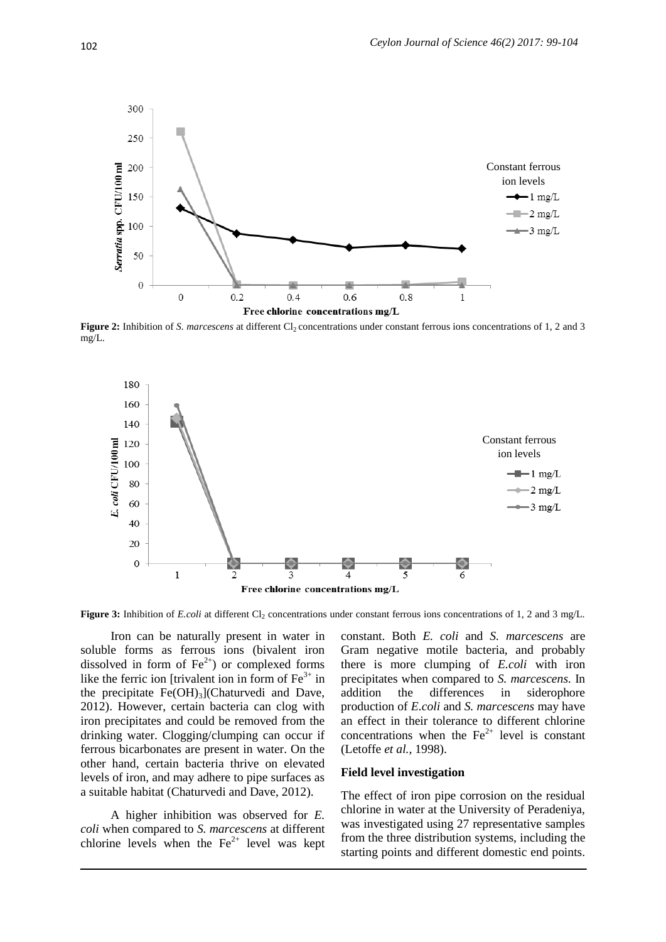

**Figure 2:** Inhibition of *S. marcescens* at different Cl<sub>2</sub> concentrations under constant ferrous ions concentrations of 1, 2 and 3 mg/L.



**Figure 3:** Inhibition of *E.coli* at different Cl<sub>2</sub> concentrations under constant ferrous ions concentrations of 1, 2 and 3 mg/L.

Iron can be naturally present in water in soluble forms as ferrous ions (bivalent iron dissolved in form of  $Fe^{2+}$ ) or complexed forms like the ferric ion [trivalent ion in form of  $Fe<sup>3+</sup>$  in the precipitate  $Fe(OH)_{3}$ ](Chaturvedi and Dave, 2012). However, certain bacteria can clog with iron precipitates and could be removed from the drinking water. Clogging/clumping can occur if ferrous bicarbonates are present in water. On the other hand, certain bacteria thrive on elevated levels of iron, and may adhere to pipe surfaces as a suitable habitat (Chaturvedi and Dave, 2012).

A higher inhibition was observed for *E. coli* when compared to *S. marcescens* at different chlorine levels when the  $Fe^{2+}$  level was kept

constant. Both *E. coli* and *S. marcescens* are Gram negative motile bacteria, and probably there is more clumping of *E.coli* with iron precipitates when compared to *S. marcescens.* In addition the differences in siderophore production of *E.coli* and *S. marcescens* may have an effect in their tolerance to different chlorine concentrations when the  $Fe<sup>2+</sup>$  level is constant (Letoffe *et al.,* 1998).

#### **Field level investigation**

The effect of iron pipe corrosion on the residual chlorine in water at the University of Peradeniya, was investigated using 27 representative samples from the three distribution systems, including the starting points and different domestic end points.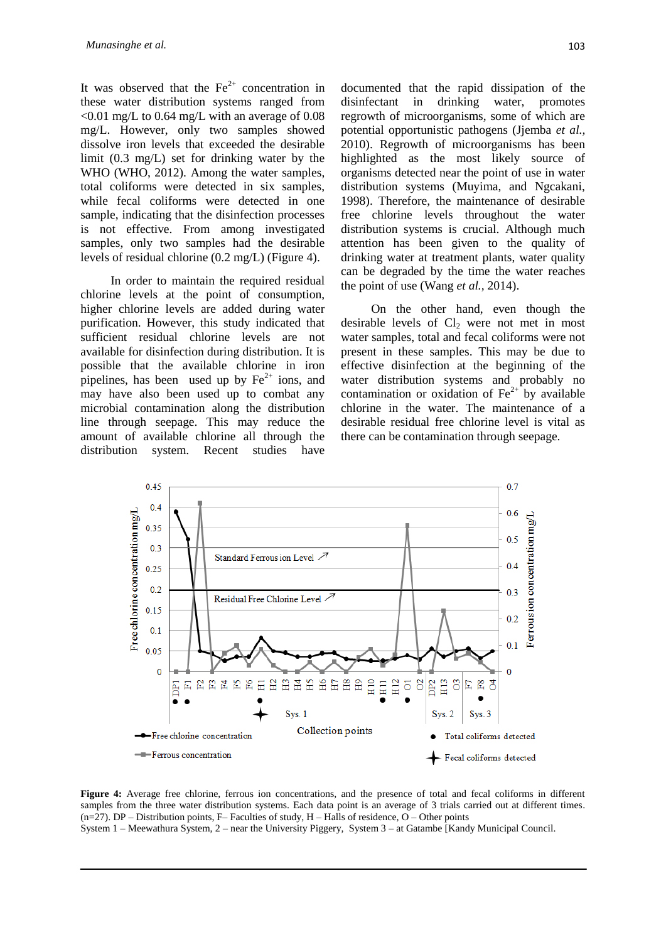It was observed that the  $Fe<sup>2+</sup>$  concentration in these water distribution systems ranged from  $\leq 0.01$  mg/L to 0.64 mg/L with an average of 0.08 mg/L. However, only two samples showed dissolve iron levels that exceeded the desirable limit (0.3 mg/L) set for drinking water by the WHO (WHO, 2012). Among the water samples, total coliforms were detected in six samples, while fecal coliforms were detected in one sample, indicating that the disinfection processes is not effective. From among investigated samples, only two samples had the desirable levels of residual chlorine (0.2 mg/L) (Figure 4).

In order to maintain the required residual chlorine levels at the point of consumption, higher chlorine levels are added during water purification. However, this study indicated that sufficient residual chlorine levels are not available for disinfection during distribution. It is possible that the available chlorine in iron pipelines, has been used up by  $Fe^{2+}$  ions, and may have also been used up to combat any microbial contamination along the distribution line through seepage. This may reduce the amount of available chlorine all through the distribution system. Recent studies have

documented that the rapid dissipation of the disinfectant in drinking water, promotes regrowth of microorganisms, some of which are potential opportunistic pathogens (Jjemba *et al.,* 2010). Regrowth of microorganisms has been highlighted as the most likely source of organisms detected near the point of use in water distribution systems (Muyima, and Ngcakani, 1998). Therefore, the maintenance of desirable free chlorine levels throughout the water distribution systems is crucial. Although much attention has been given to the quality of drinking water at treatment plants, water quality can be degraded by the time the water reaches the point of use (Wang *et al.,* 2014).

On the other hand, even though the desirable levels of  $Cl<sub>2</sub>$  were not met in most water samples, total and fecal coliforms were not present in these samples. This may be due to effective disinfection at the beginning of the water distribution systems and probably no contamination or oxidation of  $Fe<sup>2+</sup>$  by available chlorine in the water. The maintenance of a desirable residual free chlorine level is vital as there can be contamination through seepage.



**Figure 4:** Average free chlorine, ferrous ion concentrations, and the presence of total and fecal coliforms in different samples from the three water distribution systems. Each data point is an average of 3 trials carried out at different times.  $(n=27)$ . DP – Distribution points, F– Faculties of study, H – Halls of residence, O – Other points System 1 – Meewathura System, 2 – near the University Piggery, System 3 – at Gatambe [Kandy Municipal Council.